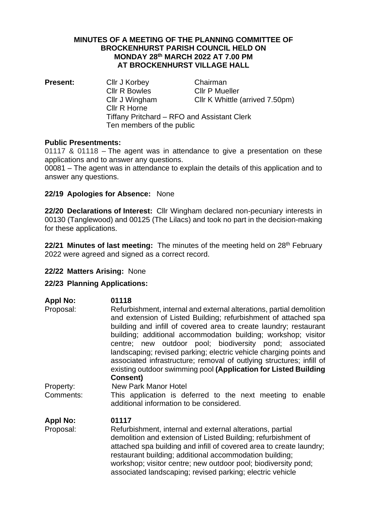#### **MINUTES OF A MEETING OF THE PLANNING COMMITTEE OF BROCKENHURST PARISH COUNCIL HELD ON MONDAY 28 th MARCH 2022 AT 7.00 PM AT BROCKENHURST VILLAGE HALL**

**Present:** Cllr J Korbey Chairman Cllr R Bowles Cllr P Mueller Cllr J Wingham Cllr K Whittle (arrived 7.50pm) Cllr R Horne Tiffany Pritchard – RFO and Assistant Clerk Ten members of the public

### **Public Presentments:**

01117 & 01118 – The agent was in attendance to give a presentation on these applications and to answer any questions.

00081 – The agent was in attendance to explain the details of this application and to answer any questions.

# **22/19 Apologies for Absence:** None

**22/20 Declarations of Interest:** Cllr Wingham declared non-pecuniary interests in 00130 (Tanglewood) and 00125 (The Lilacs) and took no part in the decision-making for these applications.

**22/21 Minutes of last meeting:** The minutes of the meeting held on 28 th February 2022 were agreed and signed as a correct record.

# **22/22 Matters Arising:** None

# **22/23 Planning Applications:**

| <b>Appl No:</b><br>Proposal: | 01118<br>Refurbishment, internal and external alterations, partial demolition<br>and extension of Listed Building; refurbishment of attached spa<br>building and infill of covered area to create laundry; restaurant<br>building; additional accommodation building; workshop; visitor<br>centre; new outdoor pool; biodiversity pond; associated<br>landscaping; revised parking; electric vehicle charging points and<br>associated infrastructure; removal of outlying structures; infill of<br>existing outdoor swimming pool (Application for Listed Building<br><b>Consent)</b> |
|------------------------------|----------------------------------------------------------------------------------------------------------------------------------------------------------------------------------------------------------------------------------------------------------------------------------------------------------------------------------------------------------------------------------------------------------------------------------------------------------------------------------------------------------------------------------------------------------------------------------------|
| Property:                    | New Park Manor Hotel                                                                                                                                                                                                                                                                                                                                                                                                                                                                                                                                                                   |
| Comments:                    | This application is deferred to the next meeting to enable<br>additional information to be considered.                                                                                                                                                                                                                                                                                                                                                                                                                                                                                 |
| <b>Appl No:</b>              | 01117                                                                                                                                                                                                                                                                                                                                                                                                                                                                                                                                                                                  |
| Proposal:                    | Refurbishment, internal and external alterations, partial<br>demolition and extension of Listed Building; refurbishment of<br>attached spa building and infill of covered area to create laundry;<br>restaurant building; additional accommodation building;<br>workshop; visitor centre; new outdoor pool; biodiversity pond;<br>associated landscaping; revised parking; electric vehicle                                                                                                                                                                                            |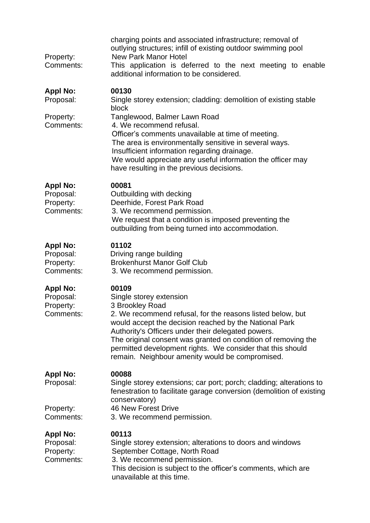| Property:<br>Comments:                                 | charging points and associated infrastructure; removal of<br>outlying structures; infill of existing outdoor swimming pool<br><b>New Park Manor Hotel</b><br>This application is deferred to the next meeting to enable<br>additional information to be considered.                                                                                                                                                 |
|--------------------------------------------------------|---------------------------------------------------------------------------------------------------------------------------------------------------------------------------------------------------------------------------------------------------------------------------------------------------------------------------------------------------------------------------------------------------------------------|
| <b>Appl No:</b><br>Proposal:                           | 00130<br>Single storey extension; cladding: demolition of existing stable<br>block                                                                                                                                                                                                                                                                                                                                  |
| Property:<br>Comments:                                 | Tanglewood, Balmer Lawn Road<br>4. We recommend refusal.<br>Officer's comments unavailable at time of meeting.<br>The area is environmentally sensitive in several ways.<br>Insufficient information regarding drainage.<br>We would appreciate any useful information the officer may<br>have resulting in the previous decisions.                                                                                 |
| <b>Appl No:</b><br>Proposal:<br>Property:<br>Comments: | 00081<br>Outbuilding with decking<br>Deerhide, Forest Park Road<br>3. We recommend permission.<br>We request that a condition is imposed preventing the<br>outbuilding from being turned into accommodation.                                                                                                                                                                                                        |
| <b>Appl No:</b><br>Proposal:<br>Property:<br>Comments: | 01102<br>Driving range building<br><b>Brokenhurst Manor Golf Club</b><br>3. We recommend permission.                                                                                                                                                                                                                                                                                                                |
| <b>Appl No:</b><br>Proposal:<br>Property:<br>Comments: | 00109<br>Single storey extension<br>3 Brookley Road<br>2. We recommend refusal, for the reasons listed below, but<br>would accept the decision reached by the National Park<br>Authority's Officers under their delegated powers.<br>The original consent was granted on condition of removing the<br>permitted development rights. We consider that this should<br>remain. Neighbour amenity would be compromised. |
| <b>Appl No:</b><br>Proposal:<br>Property:<br>Comments: | 00088<br>Single storey extensions; car port; porch; cladding; alterations to<br>fenestration to facilitate garage conversion (demolition of existing<br>conservatory)<br><b>46 New Forest Drive</b><br>3. We recommend permission.                                                                                                                                                                                  |
| <b>Appl No:</b><br>Proposal:<br>Property:<br>Comments: | 00113<br>Single storey extension; alterations to doors and windows<br>September Cottage, North Road<br>3. We recommend permission.<br>This decision is subject to the officer's comments, which are<br>unavailable at this time.                                                                                                                                                                                    |